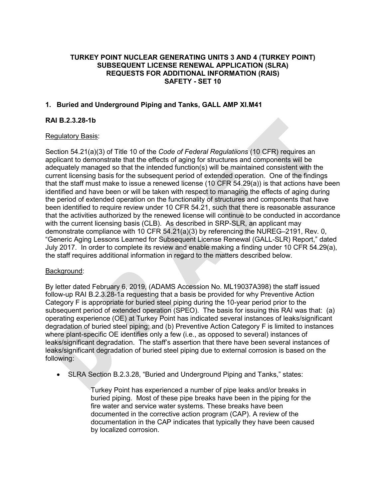## **TURKEY POINT NUCLEAR GENERATING UNITS 3 AND 4 (TURKEY POINT) SUBSEQUENT LICENSE RENEWAL APPLICATION (SLRA) REQUESTS FOR ADDITIONAL INFORMATION (RAIS) SAFETY - SET 10**

## **1. Buried and Underground Piping and Tanks, GALL AMP XI.M41**

### **RAI B.2.3.28-1b**

### Regulatory Basis:

Section 54.21(a)(3) of Title 10 of the *Code of Federal Regulatiions* (10 CFR) requires an applicant to demonstrate that the effects of aging for structures and components will be adequately managed so that the intended function(s) will be maintained consistent with the current licensing basis for the subsequent period of extended operation. One of the findings that the staff must make to issue a renewed license (10 CFR 54.29(a)) is that actions have been identified and have been or will be taken with respect to managing the effects of aging during the period of extended operation on the functionality of structures and components that have been identified to require review under 10 CFR 54.21, such that there is reasonable assurance that the activities authorized by the renewed license will continue to be conducted in accordance with the current licensing basis (CLB). As described in SRP-SLR, an applicant may demonstrate compliance with 10 CFR 54.21(a)(3) by referencing the NUREG–2191, Rev. 0, "Generic Aging Lessons Learned for Subsequent License Renewal (GALL-SLR) Report," dated July 2017. In order to complete its review and enable making a finding under 10 CFR 54.29(a), the staff requires additional information in regard to the matters described below.

# Background:

By letter dated February 6, 2019, (ADAMS Accession No. ML19037A398) the staff issued follow-up RAI B.2.3.28-1a requesting that a basis be provided for why Preventive Action Category F is appropriate for buried steel piping during the 10-year period prior to the subsequent period of extended operation (SPEO). The basis for issuing this RAI was that: (a) operating experience (OE) at Turkey Point has indicated several instances of leaks/significant degradation of buried steel piping; and (b) Preventive Action Category F is limited to instances where plant-specific OE identifies only a few (i.e., as opposed to several) instances of leaks/significant degradation. The staff's assertion that there have been several instances of leaks/significant degradation of buried steel piping due to external corrosion is based on the following:

• SLRA Section B.2.3.28, "Buried and Underground Piping and Tanks," states:

Turkey Point has experienced a number of pipe leaks and/or breaks in buried piping. Most of these pipe breaks have been in the piping for the fire water and service water systems. These breaks have been documented in the corrective action program (CAP). A review of the documentation in the CAP indicates that typically they have been caused by localized corrosion.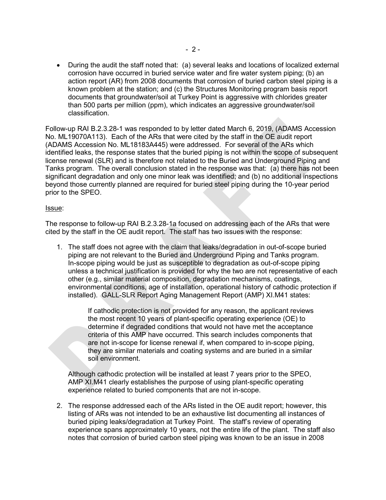• During the audit the staff noted that: (a) several leaks and locations of localized external corrosion have occurred in buried service water and fire water system piping; (b) an action report (AR) from 2008 documents that corrosion of buried carbon steel piping is a known problem at the station; and (c) the Structures Monitoring program basis report documents that groundwater/soil at Turkey Point is aggressive with chlorides greater than 500 parts per million (ppm), which indicates an aggressive groundwater/soil classification.

Follow-up RAI B.2.3.28-1 was responded to by letter dated March 6, 2019, (ADAMS Accession No. ML19070A113). Each of the ARs that were cited by the staff in the OE audit report (ADAMS Accession No. ML18183A445) were addressed. For several of the ARs which identified leaks, the response states that the buried piping is not within the scope of subsequent license renewal (SLR) and is therefore not related to the Buried and Underground Piping and Tanks program. The overall conclusion stated in the response was that: (a) there has not been significant degradation and only one minor leak was identified; and (b) no additional inspections beyond those currently planned are required for buried steel piping during the 10-year period prior to the SPEO.

#### Issue:

The response to follow-up RAI B.2.3.28-1a focused on addressing each of the ARs that were cited by the staff in the OE audit report. The staff has two issues with the response:

1. The staff does not agree with the claim that leaks/degradation in out-of-scope buried piping are not relevant to the Buried and Underground Piping and Tanks program. In-scope piping would be just as susceptible to degradation as out-of-scope piping unless a technical justification is provided for why the two are not representative of each other (e.g., similar material composition, degradation mechanisms, coatings, environmental conditions, age of installation, operational history of cathodic protection if installed). GALL-SLR Report Aging Management Report (AMP) XI.M41 states:

> If cathodic protection is not provided for any reason, the applicant reviews the most recent 10 years of plant-specific operating experience (OE) to determine if degraded conditions that would not have met the acceptance criteria of this AMP have occurred. This search includes components that are not in-scope for license renewal if, when compared to in-scope piping, they are similar materials and coating systems and are buried in a similar soil environment.

Although cathodic protection will be installed at least 7 years prior to the SPEO, AMP XI.M41 clearly establishes the purpose of using plant-specific operating experience related to buried components that are not in-scope.

2. The response addressed each of the ARs listed in the OE audit report; however, this listing of ARs was not intended to be an exhaustive list documenting all instances of buried piping leaks/degradation at Turkey Point. The staff's review of operating experience spans approximately 10 years, not the entire life of the plant. The staff also notes that corrosion of buried carbon steel piping was known to be an issue in 2008